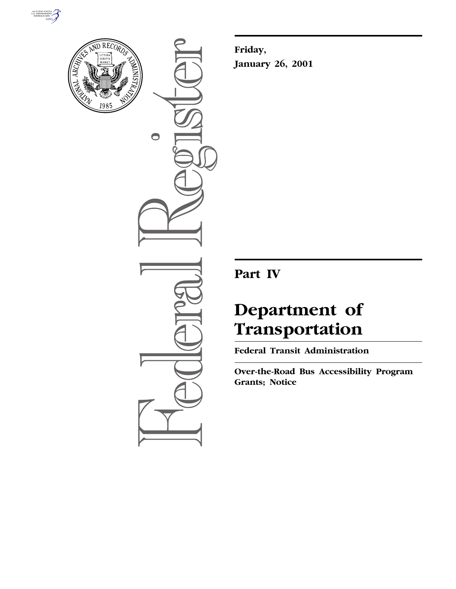



 $\bullet$ 

**Friday, January 26, 2001**

**Part IV**

# **Department of Transportation**

**Federal Transit Administration**

**Over-the-Road Bus Accessibility Program Grants; Notice**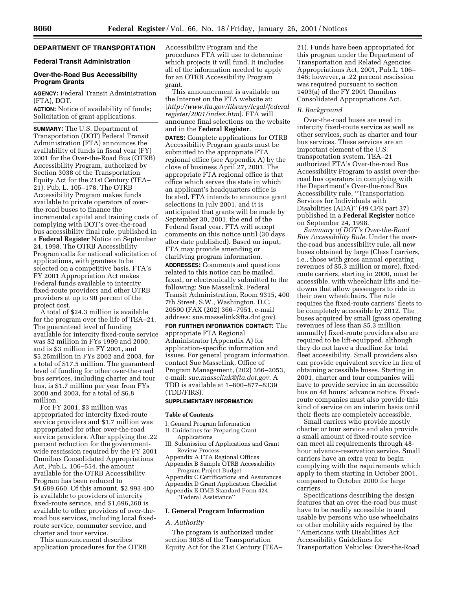# **DEPARTMENT OF TRANSPORTATION**

# **Federal Transit Administration**

### **Over-the-Road Bus Accessibility Program Grants**

**AGENCY:** Federal Transit Administration (FTA), DOT.

**ACTION:** Notice of availability of funds; Solicitation of grant applications.

**SUMMARY:** The U.S. Department of Transportation (DOT) Federal Transit Administration (FTA) announces the availability of funds in fiscal year (FY) 2001 for the Over-the-Road Bus (OTRB) Accessibility Program, authorized by Section 3038 of the Transportation Equity Act for the 21st Century (TEA– 21), Pub. L. 105–178. The OTRB Accessibility Program makes funds available to private operators of overthe-road buses to finance the incremental capital and training costs of complying with DOT's over-the-road bus accessibility final rule, published in a **Federal Register** Notice on September 24, 1998. The OTRB Accessibility Program calls for national solicitation of applications, with grantees to be selected on a competitive basis. FTA's FY 2001 Appropriation Act makes Federal funds available to intercity fixed-route providers and other OTRB providers at up to 90 percent of the project cost.

A total of \$24.3 million is available for the program over the life of TEA–21. The guaranteed level of funding available for intercity fixed-route service was \$2 million in FYs 1999 and 2000, and is \$3 million in FY 2001, and \$5.25million in FYs 2002 and 2003, for a total of \$17.5 million. The guaranteed level of funding for other over-the-road bus services, including charter and tour bus, is \$1.7 million per year from FYs 2000 and 2003, for a total of \$6.8 million.

For FY 2001, \$3 million was appropriated for intercity fixed-route service providers and \$1.7 million was appropriated for other over-the-road service providers. After applying the .22 percent reduction for the governmentwide rescission required by the FY 2001 Omnibus Consolidated Appropriations Act, Pub.L. 106–554, the amount available for the OTRB Accessibility Program has been reduced to \$4,689,660. Of this amount, \$2,993,400 is available to providers of intercity fixed-route service, and \$1,696,260 is available to other providers of over-theroad bus services, including local fixedroute service, commuter service, and charter and tour service.

This announcement describes application procedures for the OTRB Accessibility Program and the procedures FTA will use to determine which projects it will fund. It includes all of the information needed to apply for an OTRB Accessibility Program grant.

This announcement is available on the Internet on the FTA website at: [*http://www.fta.gov/library/legal/federal register/2001/index.htm*]. FTA will announce final selections on the website and in the **Federal Register**.

**DATES:** Complete applications for OTRB Accessibility Program grants must be submitted to the appropriate FTA regional office (see Appendix A) by the close of business April 27, 2001. The appropriate FTA regional office is that office which serves the state in which an applicant's headquarters office is located. FTA intends to announce grant selections in July 2001, and it is anticipated that grants will be made by September 30, 2001, the end of the Federal fiscal year. FTA will accept comments on this notice until (30 days after date published). Based on input, FTA may provide amending or clarifying program information.

**ADDRESSES:** Comments and questions related to this notice can be mailed, faxed, or electronically submitted to the following: Sue Masselink, Federal Transit Administration, Room 9315, 400 7th Street, S.W., Washington, D.C. 20590 (FAX (202) 366–7951, e-mail address: sue.masselink@fta.dot.gov).

**FOR FURTHER INFORMATION CONTACT:** The appropriate FTA Regional Administrator (Appendix A) for application-specific information and issues. For general program information, contact Sue Masselink, Office of Program Management, (202) 366–2053, e-mail: *sue.masselink@fta.dot.gov.* A TDD is available at 1–800–877–8339 (TDD/FIRS).

# **SUPPLEMENTARY INFORMATION**

#### **Table of Contents**

I. General Program Information

#### II. Guidelines for Preparing Grant Applications

- Submission of Applications and Grant Review Process
- Appendix A FTA Regional Offices
- Appendix B Sample OTRB Accessibility Program Project Budget
- Appendix C Certifications and Assurances
- Appendix D Grant Application Checklist

Appendix E OMB Standard Form 424, ''Federal Assistance''

#### **I. General Program Information**

## *A. Authority*

The program is authorized under section 3038 of the Transportation Equity Act for the 21st Century (TEA–

21). Funds have been appropriated for this program under the Department of Transportation and Related Agencies Appropriations Act, 2001, Pub.L. 106– 346; however, a .22 percent rescission was required pursuant to section 1403(a) of the FY 2001 Omnibus Consolidated Appropriations Act.

# *B. Background*

Over-the-road buses are used in intercity fixed-route service as well as other services, such as charter and tour bus services. These services are an important element of the U.S. transportation system. TEA–21 authorized FTA's Over-the-road Bus Accessibility Program to assist over-theroad bus operators in complying with the Department's Over-the-road Bus Accessibility rule, ''Transportation Services for Individuals with Disabilities (ADA)'' (49 CFR part 37) published in a **Federal Register** notice on September 24, 1998.

*Summary of DOT's Over-the-Road Bus Accessibility Rule.* Under the overthe-road bus accessibility rule, all new buses obtained by large (Class I carriers, i.e., those with gross annual operating revenues of \$5.3 million or more), fixedroute carriers, starting in 2000, must be accessible, with wheelchair lifts and tiedowns that allow passengers to ride in their own wheelchairs. The rule requires the fixed-route carriers' fleets to be completely accessible by 2012. The buses acquired by small (gross operating revenues of less than \$5.3 million annually) fixed-route providers also are required to be lift-equipped, although they do not have a deadline for total fleet accessibility. Small providers also can provide equivalent service in lieu of obtaining accessible buses. Starting in 2001, charter and tour companies will have to provide service in an accessible bus on 48 hours' advance notice. Fixedroute companies must also provide this kind of service on an interim basis until their fleets are completely accessible.

Small carriers who provide mostly charter or tour service and also provide a small amount of fixed-route service can meet all requirements through 48 hour advance-reservation service. Small carriers have an extra year to begin complying with the requirements which apply to them starting in October 2001, compared to October 2000 for large carriers.

Specifications describing the design features that an over-the-road bus must have to be readily accessible to and usable by persons who use wheelchairs or other mobility aids required by the ''Americans with Disabilities Act Accessibility Guidelines for Transportation Vehicles: Over-the-Road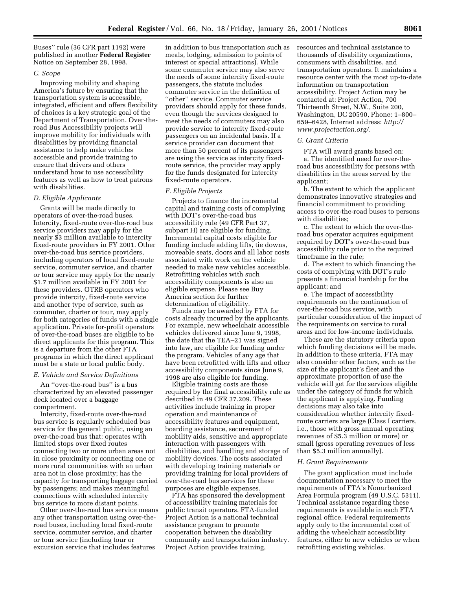Buses'' rule (36 CFR part 1192) were published in another **Federal Register** Notice on September 28, 1998.

## *C. Scope*

Improving mobility and shaping America's future by ensuring that the transportation system is accessible, integrated, efficient and offers flexibility of choices is a key strategic goal of the Department of Transportation. Over-theroad Bus Accessibility projects will improve mobility for individuals with disabilities by providing financial assistance to help make vehicles accessible and provide training to ensure that drivers and others understand how to use accessibility features as well as how to treat patrons with disabilities.

#### *D. Eligible Applicants*

Grants will be made directly to operators of over-the-road buses. Intercity, fixed-route over-the-road bus service providers may apply for the nearly \$3 million available to intercity fixed-route providers in FY 2001. Other over-the-road bus service providers, including operators of local fixed-route service, commuter service, and charter or tour service may apply for the nearly \$1.7 million available in FY 2001 for these providers. OTRB operators who provide intercity, fixed-route service and another type of service, such as commuter, charter or tour, may apply for both categories of funds with a single application. Private for-profit operators of over-the-road buses are eligible to be direct applicants for this program. This is a departure from the other FTA programs in which the direct applicant must be a state or local public body.

## *E. Vehicle and Service Definitions*

An ''over-the-road bus'' is a bus characterized by an elevated passenger deck located over a baggage compartment.

Intercity, fixed-route over-the-road bus service is regularly scheduled bus service for the general public, using an over-the-road bus that: operates with limited stops over fixed routes connecting two or more urban areas not in close proximity or connecting one or more rural communities with an urban area not in close proximity; has the capacity for transporting baggage carried by passengers; and makes meaningful connections with scheduled intercity bus service to more distant points.

Other over-the-road bus service means any other transportation using over-theroad buses, including local fixed-route service, commuter service, and charter or tour service (including tour or excursion service that includes features

in addition to bus transportation such as meals, lodging, admission to points of interest or special attractions). While some commuter service may also serve the needs of some intercity fixed-route passengers, the statute includes commuter service in the definition of ''other'' service. Commuter service providers should apply for these funds, even though the services designed to meet the needs of commuters may also provide service to intercity fixed-route passengers on an incidental basis. If a service provider can document that more than 50 percent of its passengers are using the service as intercity fixedroute service, the provider may apply for the funds designated for intercity fixed-route operators.

#### *F. Eligible Projects*

Projects to finance the incremental capital and training costs of complying with DOT's over-the-road bus accessibility rule (49 CFR Part 37, subpart H) are eligible for funding. Incremental capital costs eligible for funding include adding lifts, tie downs, moveable seats, doors and all labor costs associated with work on the vehicle needed to make new vehicles accessible. Retrofitting vehicles with such accessibility components is also an eligible expense. Please see Buy America section for further determination of eligibility.

Funds may be awarded by FTA for costs already incurred by the applicants. For example, new wheelchair accessible vehicles delivered since June 9, 1998, the date that the TEA–21 was signed into law, are eligible for funding under the program. Vehicles of any age that have been retrofitted with lifts and other accessibility components since June 9, 1998 are also eligible for funding.

Eligible training costs are those required by the final accessibility rule as described in 49 CFR 37.209. These activities include training in proper operation and maintenance of accessibility features and equipment, boarding assistance, securement of mobility aids, sensitive and appropriate interaction with passengers with disabilities, and handling and storage of mobility devices. The costs associated with developing training materials or providing training for local providers of over-the-road bus services for these purposes are eligible expenses.

FTA has sponsored the development of accessibility training materials for public transit operators. FTA-funded Project Action is a national technical assistance program to promote cooperation between the disability community and transportation industry. Project Action provides training,

resources and technical assistance to thousands of disability organizations, consumers with disabilities, and transportation operators. It maintains a resource center with the most up-to-date information on transportation accessibility. Project Action may be contacted at: Project Action, 700 Thirteenth Street, N.W., Suite 200, Washington, DC 20590, Phone: 1–800– 659–6428, Internet address: *http:// www.projectaction.org/.*

#### *G. Grant Criteria*

FTA will award grants based on: a. The identified need for over-theroad bus accessibility for persons with disabilities in the areas served by the applicant;

b. The extent to which the applicant demonstrates innovative strategies and financial commitment to providing access to over-the-road buses to persons with disabilities;

c. The extent to which the over-theroad bus operator acquires equipment required by DOT's over-the-road bus accessibility rule prior to the required timeframe in the rule;

d. The extent to which financing the costs of complying with DOT's rule presents a financial hardship for the applicant; and

e. The impact of accessibility requirements on the continuation of over-the-road bus service, with particular consideration of the impact of the requirements on service to rural areas and for low-income individuals.

These are the statutory criteria upon which funding decisions will be made. In addition to these criteria, FTA may also consider other factors, such as the size of the applicant's fleet and the approximate proportion of use the vehicle will get for the services eligible under the category of funds for which the applicant is applying. Funding decisions may also take into consideration whether intercity fixedroute carriers are large (Class I carriers, i.e., those with gross annual operating revenues of \$5.3 million or more) or small (gross operating revenues of less than \$5.3 million annually).

#### *H. Grant Requirements*

The grant application must include documentation necessary to meet the requirements of FTA's Nonurbanized Area Formula program (49 U.S.C. 5311). Technical assistance regarding these requirements is available in each FTA regional office. Federal requirements apply only to the incremental cost of adding the wheelchair accessibility features, either to new vehicles or when retrofitting existing vehicles.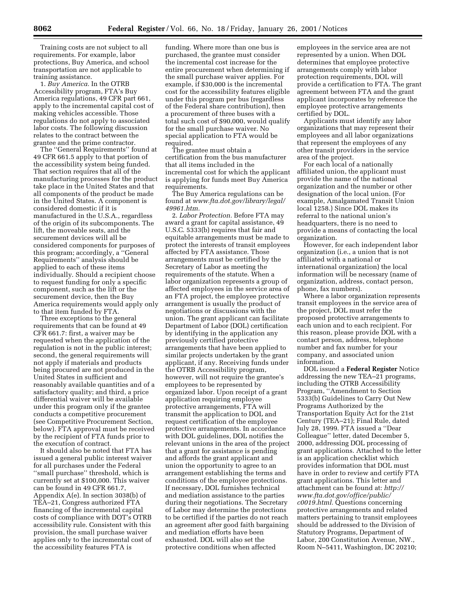Training costs are not subject to all requirements. For example, labor protections, Buy America, and school transportation are not applicable to training assistance.

1. *Buy America.* In the OTRB Accessibility program, FTA's Buy America regulations, 49 CFR part 661, apply to the incremental capital cost of making vehicles accessible. Those regulations do not apply to associated labor costs. The following discussion relates to the contract between the grantee and the prime contractor.

The ''General Requirements'' found at 49 CFR 661.5 apply to that portion of the accessibility system being funded. That section requires that all of the manufacturing processes for the product take place in the United States and that all components of the product be made in the United States. A component is considered domestic if it is manufactured in the U.S.A., regardless of the origin of its subcomponents. The lift, the moveable seats, and the securement devices will all be considered components for purposes of this program; accordingly, a ''General Requirements'' analysis should be applied to each of these items individually. Should a recipient choose to request funding for only a specific component, such as the lift or the securement device, then the Buy America requirements would apply only to that item funded by FTA.

Three exceptions to the general requirements that can be found at 49 CFR 661.7: first, a waiver may be requested when the application of the regulation is not in the public interest; second, the general requirements will not apply if materials and products being procured are not produced in the United States in sufficient and reasonably available quantities and of a satisfactory quality; and third, a price differential waiver will be available under this program only if the grantee conducts a competitive procurement (see Competitive Procurement Section, below). FTA approval must be received by the recipient of FTA funds prior to the execution of contract.

It should also be noted that FTA has issued a general public interest waiver for all purchases under the Federal ''small purchase'' threshold, which is currently set at \$100,000. This waiver can be found in 49 CFR 661.7, Appendix A(e). In section 3038(b) of TEA–21, Congress authorized FTA financing of the incremental capital costs of compliance with DOT's OTRB accessibility rule. Consistent with this provision, the small purchase waiver applies only to the incremental cost of the accessibility features FTA is

funding. Where more than one bus is purchased, the grantee must consider the incremental cost increase for the entire procurement when determining if the small purchase waiver applies. For example, if \$30,000 is the incremental cost for the accessibility features eligible under this program per bus (regardless of the Federal share contribution), then a procurement of three buses with a total such cost of \$90,000, would qualify for the small purchase waiver. No special application to FTA would be required.

The grantee must obtain a certification from the bus manufacturer that all items included in the incremental cost for which the applicant is applying for funds meet Buy America requirements.

The Buy America regulations can be found at *www.fta.dot.gov/library/legal/ 49961.htm.*

2. *Labor Protection.* Before FTA may award a grant for capital assistance, 49 U.S.C. 5333(b) requires that fair and equitable arrangements must be made to protect the interests of transit employees affected by FTA assistance. Those arrangements must be certified by the Secretary of Labor as meeting the requirements of the statute. When a labor organization represents a group of affected employees in the service area of an FTA project, the employee protective arrangement is usually the product of negotiations or discussions with the union. The grant applicant can facilitate Department of Labor (DOL) certification by identifying in the application any previously certified protective arrangements that have been applied to similar projects undertaken by the grant applicant, if any. Receiving funds under the OTRB Accessibility program, however, will not require the grantee's employees to be represented by organized labor. Upon receipt of a grant application requiring employee protective arrangements, FTA will transmit the application to DOL and request certification of the employee protective arrangements. In accordance with DOL guidelines, DOL notifies the relevant unions in the area of the project that a grant for assistance is pending and affords the grant applicant and union the opportunity to agree to an arrangement establishing the terms and conditions of the employee protections. If necessary, DOL furnishes technical and mediation assistance to the parties during their negotiations. The Secretary of Labor may determine the protections to be certified if the parties do not reach an agreement after good faith bargaining and mediation efforts have been exhausted. DOL will also set the protective conditions when affected

employees in the service area are not represented by a union. When DOL determines that employee protective arrangements comply with labor protection requirements, DOL will provide a certification to FTA. The grant agreement between FTA and the grant applicant incorporates by reference the employee protective arrangements certified by DOL.

Applicants must identify any labor organizations that may represent their employees and all labor organizations that represent the employees of any other transit providers in the service area of the project.

For each local of a nationally affiliated union, the applicant must provide the name of the national organization and the number or other designation of the local union. (For example, Amalgamated Transit Union local 1258.) Since DOL makes its referral to the national union's headquarters, there is no need to provide a means of contacting the local organization.

However, for each independent labor organization (i.e., a union that is not affiliated with a national or international organization) the local information will be necessary (name of organization, address, contact person, phone, fax numbers).

Where a labor organization represents transit employees in the service area of the project, DOL must refer the proposed protective arrangements to each union and to each recipient. For this reason, please provide DOL with a contact person, address, telephone number and fax number for your company, and associated union information.

DOL issued a **Federal Register** Notice addressing the new TEA–21 programs, including the OTRB Accessibility Program, ''Amendment to Section 5333(b) Guidelines to Carry Out New Programs Authorized by the Transportation Equity Act for the 21st Century (TEA–21); Final Rule, dated July 28, 1999. FTA issued a ''Dear Colleague'' letter, dated December 5, 2000, addressing DOL processing of grant applications. Attached to the letter is an application checklist which provides information that DOL must have in order to review and certify FTA grant applications. This letter and attachment can be found at: *http:// www.fta.dot.gov/office/public/ c0019.html.* Questions concerning protective arrangements and related matters pertaining to transit employees should be addressed to the Division of Statutory Programs, Department of Labor, 200 Constitution Avenue, NW., Room N–5411, Washington, DC 20210;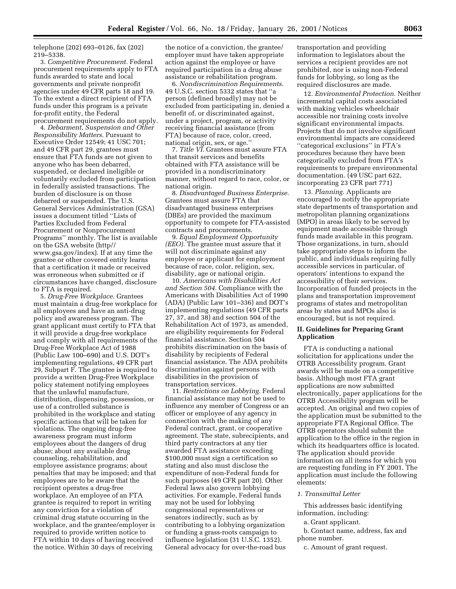telephone (202) 693–0126, fax (202) 219–5338.

3. *Competitive Procurement.* Federal procurement requirements apply to FTA funds awarded to state and local governments and private nonprofit agencies under 49 CFR parts 18 and 19. To the extent a direct recipient of FTA funds under this program is a private for-profit entity, the Federal procurement requirements do not apply.

4. *Debarment, Suspension and Other Responsibility Matters.* Pursuant to Executive Order 12549; 41 USC 701; and 49 CFR part 29, grantees must ensure that FTA funds are not given to anyone who has been debarred, suspended, or declared ineligible or voluntarily excluded from participation in federally assisted transactions. The burden of disclosure is on those debarred or suspended. The U.S. General Services Administration (GSA) issues a document titled ''Lists of Parties Excluded from Federal Procurement or Nonprocurement Programs'' monthly. The list is available on the GSA website (http// www.gsa.gov/index). If at any time the grantee or other covered entity learns that a certification it made or received was erroneous when submitted or if circumstances have changed, disclosure to FTA is required.

5. *Drug-Free Workplace.* Grantees must maintain a drug-free workplace for all employees and have an anti-drug policy and awareness program. The grant applicant must certify to FTA that it will provide a drug-free workplace and comply with all requirements of the Drug-Free Workplace Act of 1988 (Public Law 100–690) and U.S. DOT's implementing regulations, 49 CFR part 29, Subpart F. The grantee is required to provide a written Drug-Free Workplace policy statement notifying employees that the unlawful manufacture, distribution, dispensing, possession, or use of a controlled substance is prohibited in the workplace and stating specific actions that will be taken for violations. The ongoing drug-free awareness program must inform employees about the dangers of drug abuse; about any available drug counseling, rehabilitation, and employee assistance programs; about penalties that may be imposed; and that employees are to be aware that the recipient operates a drug-free workplace. An employee of an FTA grantee is required to report in writing any conviction for a violation of criminal drug statute occurring in the workplace, and the grantee/employer is required to provide written notice to FTA within 10 days of having received the notice. Within 30 days of receiving

the notice of a conviction, the grantee/ employer must have taken appropriate action against the employee or have required participation in a drug abuse assistance or rehabilitation program.

6. *Nondiscrimination Requirements.* 49 U.S.C. section 5332 states that ''a person (defined broadly) may not be excluded from participating in, denied a benefit of, or discriminated against, under a project, program, or activity receiving financial assistance (from FTA) because of race, color, creed, national origin, sex, or age.''

7. *Title VI.* Grantees must assure FTA that transit services and benefits obtained with FTA assistance will be provided in a nondiscriminatory manner, without regard to race, color, or national origin.

8. *Disadvantaged Business Enterprise.* Grantees must assure FTA that disadvantaged business enterprises (DBEs) are provided the maximum opportunity to compete for FTA-assisted contracts and procurements.

9. *Equal Employment Opportunity (EEO).* The grantee must assure that it will not discriminate against any employee or applicant for employment because of race, color, religion, sex, disability, age or national origin.

10. *Americans with Disabilities Act and Section 504.* Compliance with the Americans with Disabilities Act of 1990 (ADA) (Public Law 101–336) and DOT's implementing regulations (49 CFR parts 27, 37, and 38) and section 504 of the Rehabilitation Act of 1973, as amended, are eligibility requirements for Federal financial assistance. Section 504 prohibits discrimination on the basis of disability by recipients of Federal financial assistance. The ADA prohibits discrimination against persons with disabilities in the provision of transportation services.

11. *Restrictions on Lobbying.* Federal financial assistance may not be used to influence any member of Congress or an officer or employee of any agency in connection with the making of any Federal contract, grant, or cooperative agreement. The state, subrecipients, and third party contractors at any tier awarded FTA assistance exceeding \$100,000 must sign a certification so stating and also must disclose the expenditure of non-Federal funds for such purposes (49 CFR part 20). Other Federal laws also govern lobbying activities. For example, Federal funds may not be used for lobbying congressional representatives or senators indirectly, such as by contributing to a lobbying organization or funding a grass-roots campaign to influence legislation (31 U.S.C. 1352). General advocacy for over-the-road bus

transportation and providing information to legislators about the services a recipient provides are not prohibited, nor is using non-Federal funds for lobbying, so long as the required disclosures are made.

12. *Environmental Protection.* Neither incremental capital costs associated with making vehicles wheelchair accessible nor training costs involve significant environmental impacts. Projects that do not involve significant environmental impacts are considered ''categorical exclusions'' in FTA's procedures because they have been categorically excluded from FTA's requirements to prepare environmental documentation. (49 USC part 622, incorporating 23 CFR part 771)

13. *Planning.* Applicants are encouraged to notify the appropriate state departments of transportation and metropolitan planning organizations (MPO) in areas likely to be served by equipment made accessible through funds made available in this program. Those organizations, in turn, should take appropriate steps to inform the public, and individuals requiring fully accessible services in particular, of operators' intentions to expand the accessibility of their services. Incorporation of funded projects in the plans and transportation improvement programs of states and metropolitan areas by states and MPOs also is encouraged, but is not required.

# **II. Guidelines for Preparing Grant Application**

FTA is conducting a national solicitation for applications under the OTRB Accessibility program. Grant awards will be made on a competitive basis. Although most FTA grant applications are now submitted electronically, paper applications for the OTRB Accessibility program will be accepted. An original and two copies of the application must be submitted to the appropriate FTA Regional Office. The OTRB operators should submit the application to the office in the region in which its headquarters office is located. The application should provide information on all items for which you are requesting funding in FY 2001. The application must include the following elements:

### *1. Transmittal Letter*

This addresses basic identifying information, including:

a. Grant applicant.

b. Contact name, address, fax and phone number.

c. Amount of grant request.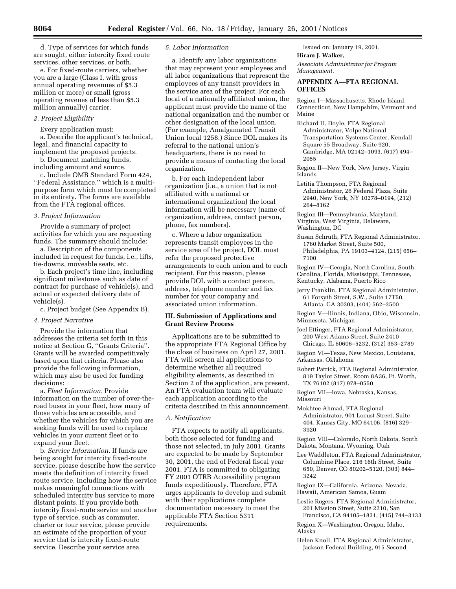d. Type of services for which funds are sought, either intercity fixed route services, other services, or both.

e. For fixed-route carriers, whether you are a large (Class I, with gross annual operating revenues of \$5.3 million or more) or small (gross operating reveues of less than \$5.3 million annually) carrier.

# *2. Project Eligibility*

Every application must:

a. Describe the applicant's technical, legal, and financial capacity to implement the proposed projects.

b. Document matching funds, including amount and source.

c. Include OMB Standard Form 424, ''Federal Assistance,'' which is a multipurpose form which must be completed in its entirety. The forms are available from the FTA regional offices.

# *3. Project Information*

Provide a summary of project activities for which you are requesting funds. The summary should include:

a. Description of the components included in request for funds, i.e., lifts, tie-downs, moveable seats, etc.

b. Each project's time line, including significant milestones such as date of contract for purchase of vehicle(s), and actual or expected delivery date of vehicle(s).

c. Project budget (See Appendix B).

## *4. Project Narrative*

Provide the information that addresses the criteria set forth in this notice at Section G, ''Grants Criteria''. Grants will be awarded competitively based upon that criteria. Please also provide the following information, which may also be used for funding decisions:

a. *Fleet Information.* Provide information on the number of over-theroad buses in your fleet, how many of those vehicles are accessible, and whether the vehicles for which you are seeking funds will be used to replace vehicles in your current fleet or to expand your fleet.

b. *Service Information.* If funds are being sought for intercity fixed-route service, please describe how the service meets the definition of intercity fixed route service, including how the service makes meaningful connections with scheduled intercity bus service to more distant points. If you provide both intercity fixed-route service and another type of service, such as commuter, charter or tour service, please provide an estimate of the proportion of your service that is intercity fixed-route service. Describe your service area.

#### *5. Labor Information*

a. Identify any labor organizations that may represent your employees and all labor organizations that represent the employees of any transit providers in the service area of the project. For each local of a nationally affiliated union, the applicant must provide the name of the national organization and the number or other designation of the local union. (For example, Amalgamated Transit Union local 1258.) Since DOL makes its referral to the national union's headquarters, there is no need to provide a means of contacting the local organization.

b. For each independent labor organization (i.e., a union that is not affiliated with a national or international organization) the local information will be necessary (name of organization, address, contact person, phone, fax numbers).

c. Where a labor organization represents transit employees in the service area of the project, DOL must refer the proposed protective arrangements to each union and to each recipient. For this reason, please provide DOL with a contact person, address, telephone number and fax number for your company and associated union information.

# **III. Submission of Applications and Grant Review Process**

Applications are to be submitted to the appropriate FTA Regional Office by the close of business on April 27, 2001. FTA will screen all applications to determine whether all required eligibility elements, as described in Section 2 of the application, are present. An FTA evaluation team will evaluate each application according to the criteria described in this announcement.

# *A. Notification*

FTA expects to notify all applicants, both those selected for funding and those not selected, in July 2001. Grants are expected to be made by September 30, 2001, the end of Federal fiscal year 2001. FTA is committed to obligating FY 2001 OTRB Accessibility program funds expeditiously. Therefore, FTA urges applicants to develop and submit with their applications complete documentation necessary to meet the applicable FTA Section 5311 requirements.

Issued on: January 19, 2001. **Hiram J. Walker,**

*Associate Administrator for Program Management.*

# **APPENDIX A—FTA REGIONAL OFFICES**

Region I—Massachusetts, Rhode Island, Connecticut, New Hampshire, Vermont and Maine

- Richard H. Doyle, FTA Regional Administrator, Volpe National Transportation Systems Center, Kendall Square 55 Broadway, Suite 920, Cambridge, MA 02142–1093, (617) 494– 2055
- Region II—New York, New Jersey, Virgin Islands
- Letitia Thompson, FTA Regional Administrator, 26 Federal Plaza, Suite 2940, New York, NY 10278–0194, (212) 264–8162

Region III—Pennsylvania, Maryland, Virginia, West Virginia, Delaware, Washington, DC

- Susan Schruth, FTA Regional Administrator, 1760 Market Street, Suite 500, Philadelphia, PA 19103–4124, (215) 656– 7100
- Region IV—Georgia, North Carolina, South Carolina, Florida, Mississippi, Tennessee, Kentucky, Alabama, Puerto Rico
- Jerry Franklin, FTA Regional Administrator, 61 Forsyth Street, S.W., Suite 17T50, Atlanta, GA 30303, (404) 562–3500

Region V—llinois, Indiana, Ohio, Wisconsin, Minnesota, Michigan

Joel Ettinger, FTA Regional Administrator, 200 West Adams Street, Suite 2410 Chicago, IL 60606–5232, (312) 353–2789

Region VI—Texas, New Mexico, Louisiana, Arkansas, Oklahoma

Robert Patrick, FTA Regional Administrator, 819 Taylor Street, Room 8A36, Ft. Worth, TX 76102 (817) 978–0550

Region VII—Iowa, Nebraska, Kansas, Missouri

Mokhtee Ahmad, FTA Regional Administrator, 901 Locust Street, Suite 404, Kansas City, MO 64106, (816) 329– 3920

Region VIII—Colorado, North Dakota, South Dakota, Montana, Wyoming, Utah

Lee Waddleton, FTA Regional Administrator, Columbine Place, 216 16th Street, Suite 650, Denver, CO 80202–5120, (303) 844– 3242

Region IX—California, Arizona, Nevada, Hawaii, American Samoa, Guam

Leslie Rogers, FTA Regional Administrator, 201 Mission Street, Suite 2210, San Francisco, CA 94105–1831, (415) 744–3133

Region X—Washington, Oregon, Idaho, Alaska

Helen Knoll, FTA Regional Administrator, Jackson Federal Building, 915 Second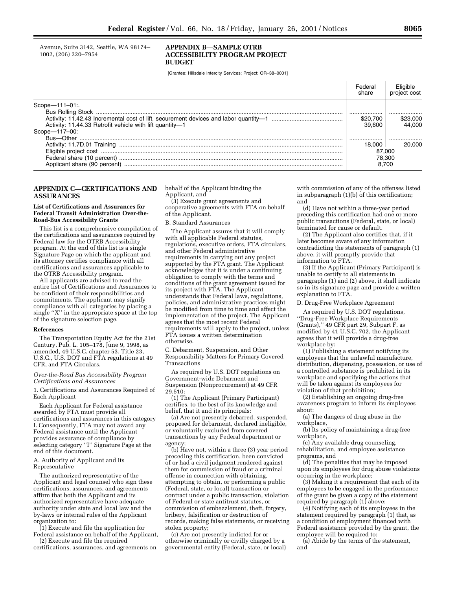Avenue, Suite 3142, Seattle, WA 98174– 1002, (206) 220–7954

## **APPENDIX B—SAMPLE OTRB ACCESSIBILITY PROGRAM PROJECT BUDGET**

[Grantee: Hillsdale Intercity Services; Project: OR–38–0001]

|                                                          | Federal<br>share | project cost |
|----------------------------------------------------------|------------------|--------------|
| $Scope - 111 - 01$ .                                     |                  |              |
|                                                          | \$20,700         | \$23.000     |
| Activity: 11.44.33 Retrofit vehicle with lift quantity-1 | 39.600           | 44.000       |
| Scope-117-00:                                            |                  |              |
|                                                          |                  |              |
|                                                          | 18.000           | 20,000       |
|                                                          | 87,000           |              |
|                                                          | 78.300           |              |
|                                                          | 8.700            |              |

# **APPENDIX C—CERTIFICATIONS AND ASSURANCES**

#### **List of Certifications and Assurances for Federal Transit Administration Over-the-Road-Bus Accessibility Grants**

This list is a comprehensive compilation of the certifications and assurances required by Federal law for the OTRB Accessibility program. At the end of this list is a single Signature Page on which the applicant and its attorney certifies compliance with all certifications and assurances applicable to the OTRB Accessibility program.

All applicants are advised to read the entire list of Certifications and Assurances to be confident of their responsibilities and commitments. The applicant may signify compliance with all categories by placing a single ''X'' in the appropriate space at the top of the signature selection page.

## **References**

The Transportation Equity Act for the 21st Century, Pub. L. 105–178, June 9, 1998, as amended, 49 U.S.C. chapter 53, Title 23, U.S.C., U.S. DOT and FTA regulations at 49 CFR, and FTA Circulars.

#### *Over-the-Road Bus Accessibility Program Certifications and Assurances*

1. Certifications and Assurances Required of Each Applicant

Each Applicant for Federal assistance awarded by FTA must provide all certifications and assurances in this category I. Consequently, FTA may not award any Federal assistance until the Applicant provides assurance of compliance by selecting category ''I'' Signature Page at the end of this document.

#### A. Authority of Applicant and Its Representative

The authorized representative of the Applicant and legal counsel who sign these certifications, assurances, and agreements affirm that both the Applicant and its authorized representative have adequate authority under state and local law and the by-laws or internal rules of the Applicant organization to:

(1) Execute and file the application for Federal assistance on behalf of the Applicant,

(2) Execute and file the required certifications, assurances, and agreements on behalf of the Applicant binding the Applicant, and

(3) Execute grant agreements and cooperative agreements with FTA on behalf of the Applicant.

#### B. Standard Assurances

The Applicant assures that it will comply with all applicable Federal statutes, regulations, executive orders, FTA circulars, and other Federal administrative requirements in carrying out any project supported by the FTA grant. The Applicant acknowledges that it is under a continuing obligation to comply with the terms and conditions of the grant agreement issued for its project with FTA. The Applicant understands that Federal laws, regulations, policies, and administrative practices might be modified from time to time and affect the implementation of the project. The Applicant agrees that the most recent Federal requirements will apply to the project, unless FTA issues a written determination otherwise.

C. Debarment, Suspension, and Other Responsibility Matters for Primary Covered Transactions

As required by U.S. DOT regulations on Government-wide Debarment and Suspension (Nonprocurement) at 49 CFR 29.510:

(1) The Applicant (Primary Participant) certifies, to the best of its knowledge and belief, that it and its principals:

(a) Are not presently debarred, suspended, proposed for debarment, declared ineligible, or voluntarily excluded from covered transactions by any Federal department or agency;

(b) Have not, within a three (3) year period preceding this certification, been convicted of or had a civil judgment rendered against them for commission of fraud or a criminal offense in connection with obtaining, attempting to obtain, or performing a public (Federal, state, or local) transaction or contract under a public transaction, violation of Federal or state antitrust statutes, or commission of embezzlement, theft, forgery, bribery, falsification or destruction of records, making false statements, or receiving stolen property;

(c) Are not presently indicted for or otherwise criminally or civilly charged by a governmental entity (Federal, state, or local)

with commission of any of the offenses listed in subparagraph (1)(b) of this certification; and

(d) Have not within a three-year period preceding this certification had one or more public transactions (Federal, state, or local) terminated for cause or default.

(2) The Applicant also certifies that, if it later becomes aware of any information contradicting the statements of paragraph (1) above, it will promptly provide that information to FTA.

(3) If the Applicant (Primary Participant) is unable to certify to all statements in paragraphs (1) and (2) above, it shall indicate so in its signature page and provide a written explanation to FTA.

#### D. Drug-Free Workplace Agreement

As required by U.S. DOT regulations, ''Drug-Free Workplace Requirements (Grants),'' 49 CFR part 29, Subpart F, as modified by 41 U.S.C. 702, the Applicant agrees that it will provide a drug-free workplace by:

(1) Publishing a statement notifying its employees that the unlawful manufacture, distribution, dispensing, possession, or use of a controlled substance is prohibited in its workplace and specifying the actions that will be taken against its employees for violation of that prohibition;

(2) Establishing an ongoing drug-free awareness program to inform its employees about:

(a) The dangers of drug abuse in the workplace,

(b) Its policy of maintaining a drug-free workplace,

(c) Any available drug counseling, rehabilitation, and employee assistance programs, and

(d) The penalties that may be imposed upon its employees for drug abuse violations occurring in the workplace;

(3) Making it a requirement that each of its employees to be engaged in the performance of the grant be given a copy of the statement required by paragraph (1) above;

(4) Notifying each of its employees in the statement required by paragraph (1) that, as a condition of employment financed with Federal assistance provided by the grant, the employee will be required to:

(a) Abide by the terms of the statement, and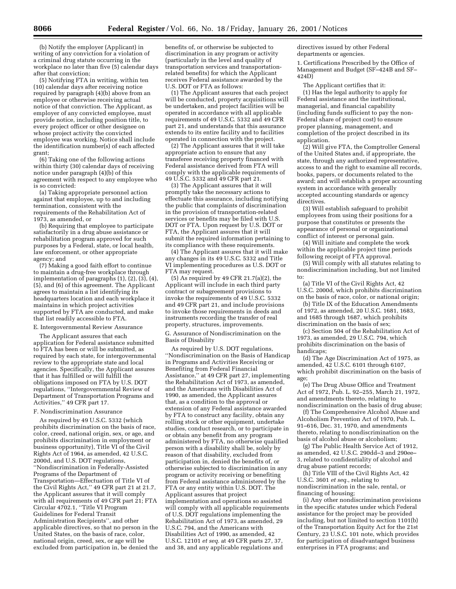(b) Notify the employer (Applicant) in writing of any conviction for a violation of a criminal drug statute occurring in the workplace no later than five (5) calendar days after that conviction;

(5) Notifying FTA in writing, within ten (10) calendar days after receiving notice required by paragraph (4)(b) above from an employee or otherwise receiving actual notice of that conviction. The Applicant, as employer of any convicted employee, must provide notice, including position title, to every project officer or other designee on whose project activity the convicted employee was working. Notice shall include the identification number(s) of each affected grant;

(6) Taking one of the following actions within thirty (30) calendar days of receiving notice under paragraph (4)(b) of this agreement with respect to any employee who is so convicted:

(a) Taking appropriate personnel action against that employee, up to and including termination, consistent with the requirements of the Rehabilitation Act of 1973, as amended, or

(b) Requiring that employee to participate satisfactorily in a drug abuse assistance or rehabilitation program approved for such purposes by a Federal, state, or local health, law enforcement, or other appropriate agency; and

(7) Making a good faith effort to continue to maintain a drug-free workplace through implementation of paragraphs (1), (2), (3), (4), (5), and (6) of this agreement. The Applicant agrees to maintain a list identifying its headquarters location and each workplace it maintains in which project activities supported by FTA are conducted, and make that list readily accessible to FTA.

# E. Intergovernmental Review Assurance

The Applicant assures that each application for Federal assistance submitted to FTA has been or will be submitted, as required by each state, for intergovernmental review to the appropriate state and local agencies. Specifically, the Applicant assures that it has fulfilled or will fulfill the obligations imposed on FTA by U.S. DOT regulations, ''Intergovernmental Review of Department of Transportation Programs and Activities,'' 49 CFR part 17.

#### F. Nondiscrimination Assurance

As required by 49 U.S.C. 5332 (which prohibits discrimination on the basis of race, color, creed, national origin, sex, or age, and prohibits discrimination in employment or business opportunity), Title VI of the Civil Rights Act of 1964, as amended, 42 U.S.C. 2000d, and U.S. DOT regulations, ''Nondiscrimination in Federally-Assisted Programs of the Department of Transportation—Effectuation of Title VI of the Civil Rights Act,'' 49 CFR part 21 at 21.7, the Applicant assures that it will comply with all requirements of 49 CFR part  $21$ ; FTA Circular 4702.1, ''Title VI Program Guidelines for Federal Transit Administration Recipients'', and other applicable directives, so that no person in the United States, on the basis of race, color, national origin, creed, sex, or age will be excluded from participation in, be denied the

benefits of, or otherwise be subjected to discrimination in any program or activity (particularly in the level and quality of transportation services and transportationrelated benefits) for which the Applicant receives Federal assistance awarded by the U.S. DOT or FTA as follows:

(1) The Applicant assures that each project will be conducted, property acquisitions will be undertaken, and project facilities will be operated in accordance with all applicable requirements of 49 U.S.C. 5332 and 49 CFR part 21, and understands that this assurance extends to its entire facility and to facilities operated in connection with the project.

(2) The Applicant assures that it will take appropriate action to ensure that any transferee receiving property financed with Federal assistance derived from FTA will comply with the applicable requirements of 49 U.S.C. 5332 and 49 CFR part 21.

(3) The Applicant assures that it will promptly take the necessary actions to effectuate this assurance, including notifying the public that complaints of discrimination in the provision of transportation-related services or benefits may be filed with U.S. DOT or FTA. Upon request by U.S. DOT or FTA, the Applicant assures that it will submit the required information pertaining to its compliance with these requirements.

(4) The Applicant assures that it will make any changes in its 49 U.S.C. 5332 and Title VI implementing procedures as U.S. DOT or FTA may request.

(5) As required by 49 CFR 21.7(a)(2), the Applicant will include in each third party contract or subagreement provisions to invoke the requirements of 49 U.S.C. 5332 and 49 CFR part 21, and include provisions to invoke those requirements in deeds and instruments recording the transfer of real property, structures, improvements. G. Assurance of Nondiscrimination on the

Basis of Disability

As required by U.S. DOT regulations, ''Nondiscrimination on the Basis of Handicap in Programs and Activities Receiving or Benefiting from Federal Financial Assistance,'' at 49 CFR part 27, implementing the Rehabilitation Act of 1973, as amended, and the Americans with Disabilities Act of 1990, as amended, the Applicant assures that, as a condition to the approval or extension of any Federal assistance awarded by FTA to construct any facility, obtain any rolling stock or other equipment, undertake studies, conduct research, or to participate in or obtain any benefit from any program administered by FTA, no otherwise qualified person with a disability shall be, solely by reason of that disability, excluded from participation in, denied the benefits of, or otherwise subjected to discrimination in any program or activity receiving or benefiting from Federal assistance administered by the FTA or any entity within U.S. DOT. The Applicant assures that project implementation and operations so assisted will comply with all applicable requirements of U.S. DOT regulations implementing the Rehabilitation Act of 1973, as amended, 29 U.S.C. 794, and the Americans with Disabilities Act of 1990, as amended, 42 U.S.C. 12101 *et seq.* at 49 CFR parts 27, 37, and 38, and any applicable regulations and

directives issued by other Federal departments or agencies.

1. Certifications Prescribed by the Office of Management and Budget (SF–424B and SF– 424D)

The Applicant certifies that it: (1) Has the legal authority to apply for Federal assistance and the institutional, managerial, and financial capability (including funds sufficient to pay the non-Federal share of project cost) to ensure proper planning, management, and completion of the project described in its application.

(2) Will give FTA, the Comptroller General of the United States and, if appropriate, the state, through any authorized representative, access to and the right to examine all records, books, papers, or documents related to the award; and will establish a proper accounting system in accordance with generally accepted accounting standards or agency directives.

(3) Will establish safeguard to prohibit employees from using their positions for a purpose that constitutes or presents the appearance of personal or organizational conflict of interest or personal gain.

(4) Will initiate and complete the work within the applicable project time periods following receipt of FTA approval.

(5) Will comply with all statutes relating to nondiscrimination including, but not limited to:

(a) Title VI of the Civil Rights Act, 42 U.S.C. 2000d, which prohibits discrimination on the basis of race, color, or national origin;

(b) Title IX of the Education Amendments of 1972, as amended, 20 U.S.C. 1681, 1683, and 1685 through 1687, which prohibits discrimination on the basis of sex;

(c) Section 504 of the Rehabilitation Act of 1973, as amended, 29 U.S.C. 794, which prohibits discrimination on the basis of handicaps;

(d) The Age Discrimination Act of 1975, as amended, 42 U.S.C. 6101 through 6107, which prohibit discrimination on the basis of age;

(e) The Drug Abuse Office and Treatment Act of 1972, Pub. L. 92–255, March 21, 1972, and amendments thereto, relating to

nondiscrimination on the basis of drug abuse; (f) The Comprehensive Alcohol Abuse and Alcoholism Prevention Act of 1970, Pub. L. 91–616, Dec. 31, 1970, and amendments thereto, relating to nondiscrimination on the basis of alcohol abuse or alcoholism;

(g) The Public Health Service Act of 1912, as amended, 42 U.S.C. 290dd–3 and 290ee– 3, related to confidentiality of alcohol and drug abuse patient records;

(h) Title VIII of the Civil Rights Act, 42 U.S.C. 3601 *et seq.*, relating to nondiscrimination in the sale, rental, or financing of housing;

(i) Any other nondiscrimination provisions in the specific statutes under which Federal assistance for the project may be provided including, but not limited to section 1101(b) of the Transportation Equity Act for the 21st Century, 23 U.S.C. 101 note, which provides for participation of disadvantaged business enterprises in FTA programs; and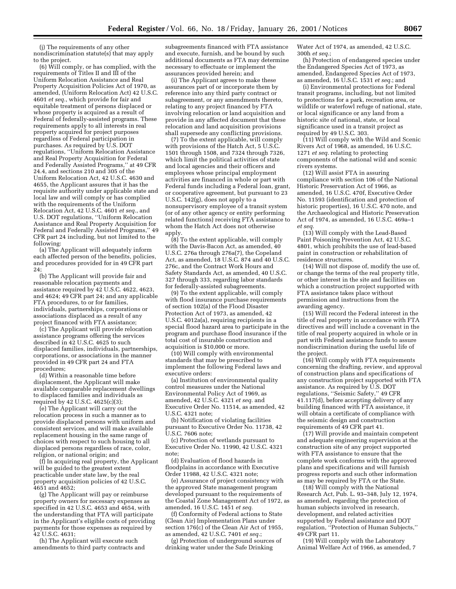(j) The requirements of any other nondiscrimination statute(s) that may apply to the project.

(6) Will comply, or has complied, with the requirements of Titles II and III of the Uniform Relocation Assistance and Real Property Acquisition Policies Act of 1970, as amended, (Uniform Relocation Act) 42 U.S.C. 4601 *et seq.*, which provide for fair and equitable treatment of persons displaced or whose property is acquired as a result of Federal of federally-assisted programs. These requirements apply to all interests in real property acquired for project purposes regardless of Federal participation in purchases. As required by U.S. DOT regulations, ''Uniform Relocation Assistance and Real Property Acquisition for Federal and Federally Assisted Programs,'' at 49 CFR 24.4, and sections 210 and 305 of the Uniform Relocation Act, 42 U.S.C. 4630 and 4655, the Applicant assures that it has the requisite authority under applicable state and local law and will comply or has complied with the requirements of the Uniform Relocation Act, 42 U.S.C. 4601 *et seq.*, and U.S. DOT regulations, ''Uniform Relocation Assistance and Real Property Acquisition for Federal and Federally Assisted Programs,'' 49 CFR part 24 including, but not limited to the following:

(a) The Applicant will adequately inform each affected person of the benefits, policies, and procedures provided for in 49 CFR part 24;

(b) The Applicant will provide fair and reasonable relocation payments and assistance required by 42 U.S.C. 4622, 4623, and 4624; 49 CFR part 24; and any applicable FTA procedures, to or for families, individuals, partnerships, corporations or associations displaced as a result of any project financed with FTA assistance;

(c) The Applicant will provide relocation assistance programs offering the services described in 42 U.S.C. 4625 to such displaced families, individuals, partnerships, corporations, or associations in the manner provided in 49 CFR part 24 and FTA procedures;

(d) Within a reasonable time before displacement, the Applicant will make available comparable replacement dwellings to displaced families and individuals as required by 42 U.S.C. 4625(c)(3);

(e) The Applicant will carry out the relocation process in such a manner as to provide displaced persons with uniform and consistent services, and will make available replacement housing in the same range of choices with respect to such housing to all displaced persons regardless of race, color, religion, or national origin; and

(f) In acquiring real property, the Applicant will be guided to the greatest extent practicable under state law, by the real property acquisition policies of 42 U.S.C. 4651 and 4652;

(g) The Applicant will pay or reimburse property owners for necessary expenses as specified in 42 U.S.C. 4653 and 4654, with the understanding that FTA will participate in the Applicant's eligible costs of providing payments for those expenses as required by 42 U.S.C. 4631;

(h) The Applicant will execute such amendments to third party contracts and

subagreements financed with FTA assistance and execute, furnish, and be bound by such additional documents as FTA may determine necessary to effectuate or implement the assurances provided herein; and

(i) The Applicant agrees to make these assurances part of or incorporate them by reference into any third party contract or subagreement, or any amendments thereto, relating to any project financed by FTA involving relocation or land acquisition and provide in any affected document that these relocation and land acquisition provisions shall supersede any conflicting provisions.

(7) To the extent applicable, will comply with provisions of the Hatch Act, 5 U.S.C. 1501 through 1508, and 7324 through 7326, which limit the political activities of state and local agencies and their officers and employees whose principal employment activities are financed in whole or part with Federal funds including a Federal loan, grant, or cooperative agreement, but pursuant to 23 U.S.C. 142(g), does not apply to a nonsupervisory employee of a transit system (or of any other agency or entity performing related functions) receiving FTA assistance to whom the Hatch Act does not otherwise apply.

(8) To the extent applicable, will comply with the Davis-Bacon Act, as amended, 40 U.S.C. 276a through 276a(7), the Copeland Act, as amended, 18 U.S.C. 874 and 40 U.S.C. 276c, and the Contract Work Hours and Safety Standards Act, as amended, 40 U.S.C. 327 through 333, regarding labor standards for federally-assisted subagreements.

(9) To the extent applicable, will comply with flood insurance purchase requirements of section 102(a) of the Flood Disaster Protection Act of 1973, as amended, 42 U.S.C. 4012a(a), requiring recipients in a special flood hazard area to participate in the program and purchase flood insurance if the total cost of insurable construction and acquisition is \$10,000 or more.

(10) Will comply with environmental standards that may be prescribed to implement the following Federal laws and executive orders:

(a) Institution of environmental quality control measures under the National Environmental Policy Act of 1969, as amended, 42 U.S.C. 4321 *et seq.* and Executive Order No. 11514, as amended, 42 U.S.C. 4321 note;

(b) Notification of violating facilities pursuant to Executive Order No. 11738, 42 U.S.C. 7606 note;

(c) Protection of wetlands pursuant to Executive Order No. 11990, 42 U.S.C. 4321 note;

(d) Evaluation of flood hazards in floodplains in accordance with Executive Order 11988, 42 U.S.C. 4321 note;

(e) Assurance of project consistency with the approved State management program developed pursuant to the requirements of the Coastal Zone Management Act of 1972, as amended, 16 U.S.C. 1451 *et seq.*

(f) Conformity of Federal actions to State (Clean Air) Implementation Plans under section 176(c) of the Clean Air Act of 1955, as amended, 42 U.S.C. 7401 *et seq.*;

(g) Protection of underground sources of drinking water under the Safe Drinking

Water Act of 1974, as amended, 42 U.S.C. 300h *et seq.*;

(h) Protection of endangered species under the Endangered Species Act of 1973, as amended, Endangered Species Act of 1973, as amended, 16 U.S.C. 1531 *et seq.*; and

(i) Environmental protections for Federal transit programs, including, but not limited to protections for a park, recreation area, or wildlife or waterfowl refuge of national, state, or local significance or any land from a historic site of national, state, or local significance used in a transit project as required by 49 U.S.C. 303.

(11) Will comply with the Wild and Scenic Rivers Act of 1968, as amended, 16 U.S.C. 1271 *et seq.* relating to protecting components of the national wild and scenic rivers systems.

(12) Will assist FTA in assuring compliance with section 106 of the National Historic Preservation Act of 1966, as amended, 16 U.S.C. 470f, Executive Order No. 11593 (identification and protection of historic properties), 16 U.S.C. 470 note, and the Archaeological and Historic Preservation Act of 1974, as amended, 16 U.S.C. 469a–1 *et seq.*

(13) Will comply with the Lead-Based Paint Poisoning Prevention Act, 42 U.S.C. 4801, which prohibits the use of lead-based paint in construction or rehabilitation of residence structures.

(14) Will not dispose of, modify the use of, or change the terms of the real property title, or other interest in the site and facilities on which a construction project supported with FTA assistance takes place without permission and instructions from the awarding agency.

(15) Will record the Federal interest in the title of real property in accordance with FTA directives and will include a covenant in the title of real property acquired in whole or in part with Federal assistance funds to assure nondiscrimination during the useful life of the project.

(16) Will comply with FTA requirements concerning the drafting, review, and approval of construction plans and specifications of any construction project supported with FTA assistance. As required by U.S. DOT regulations, ''Seismic Safety,'' 49 CFR 41.117(d), before accepting delivery of any building financed with FTA assistance, it will obtain a certificate of compliance with the seismic design and construction requirements of 49 CFR part 41.

(17) Will provide and maintain competent and adequate engineering supervision at the construction site of any project supported with FTA assistance to ensure that the complete work conforms with the approved plans and specifications and will furnish progress reports and such other information as may be required by FTA or the State.

(18) Will comply with the National Research Act, Pub. L. 93–348, July 12, 1974, as amended, regarding the protection of human subjects involved in research, development, and related activities supported by Federal assistance and DOT regulation, ''Protection of Human Subjects,'' 49 CFR part 11.

(19) Will comply with the Laboratory Animal Welfare Act of 1966, as amended, 7